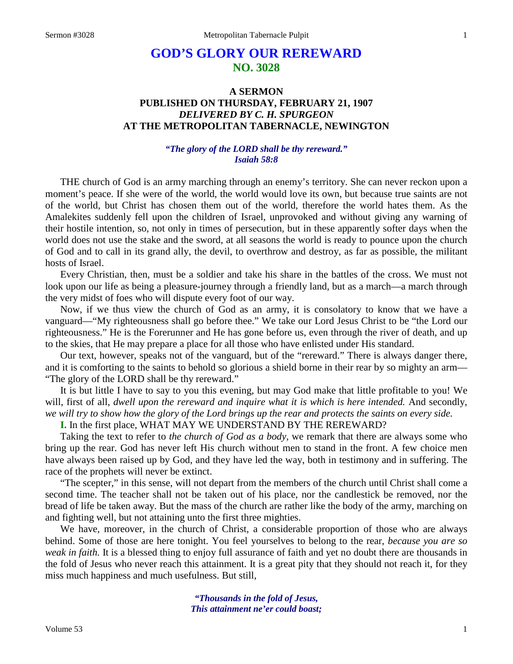# **GOD'S GLORY OUR REREWARD NO. 3028**

## **A SERMON PUBLISHED ON THURSDAY, FEBRUARY 21, 1907** *DELIVERED BY C. H. SPURGEON* **AT THE METROPOLITAN TABERNACLE, NEWINGTON**

### *"The glory of the LORD shall be thy rereward." Isaiah 58:8*

THE church of God is an army marching through an enemy's territory. She can never reckon upon a moment's peace. If she were of the world, the world would love its own, but because true saints are not of the world, but Christ has chosen them out of the world, therefore the world hates them. As the Amalekites suddenly fell upon the children of Israel, unprovoked and without giving any warning of their hostile intention, so, not only in times of persecution, but in these apparently softer days when the world does not use the stake and the sword, at all seasons the world is ready to pounce upon the church of God and to call in its grand ally, the devil, to overthrow and destroy, as far as possible, the militant hosts of Israel.

Every Christian, then, must be a soldier and take his share in the battles of the cross. We must not look upon our life as being a pleasure-journey through a friendly land, but as a march—a march through the very midst of foes who will dispute every foot of our way.

Now, if we thus view the church of God as an army, it is consolatory to know that we have a vanguard—"My righteousness shall go before thee." We take our Lord Jesus Christ to be "the Lord our righteousness." He is the Forerunner and He has gone before us, even through the river of death, and up to the skies, that He may prepare a place for all those who have enlisted under His standard.

Our text, however, speaks not of the vanguard, but of the "rereward." There is always danger there, and it is comforting to the saints to behold so glorious a shield borne in their rear by so mighty an arm— "The glory of the LORD shall be thy rereward."

It is but little I have to say to you this evening, but may God make that little profitable to you! We will, first of all, *dwell upon the rereward and inquire what it is which is here intended.* And secondly, *we will try to show how the glory of the Lord brings up the rear and protects the saints on every side.*

**I.** In the first place, WHAT MAY WE UNDERSTAND BY THE REREWARD?

Taking the text to refer to *the church of God as a body,* we remark that there are always some who bring up the rear. God has never left His church without men to stand in the front. A few choice men have always been raised up by God, and they have led the way, both in testimony and in suffering. The race of the prophets will never be extinct.

"The scepter," in this sense, will not depart from the members of the church until Christ shall come a second time. The teacher shall not be taken out of his place, nor the candlestick be removed, nor the bread of life be taken away. But the mass of the church are rather like the body of the army, marching on and fighting well, but not attaining unto the first three mighties.

We have, moreover, in the church of Christ, a considerable proportion of those who are always behind. Some of those are here tonight. You feel yourselves to belong to the rear, *because you are so weak in faith.* It is a blessed thing to enjoy full assurance of faith and yet no doubt there are thousands in the fold of Jesus who never reach this attainment. It is a great pity that they should not reach it, for they miss much happiness and much usefulness. But still,

> *"Thousands in the fold of Jesus, This attainment ne'er could boast;*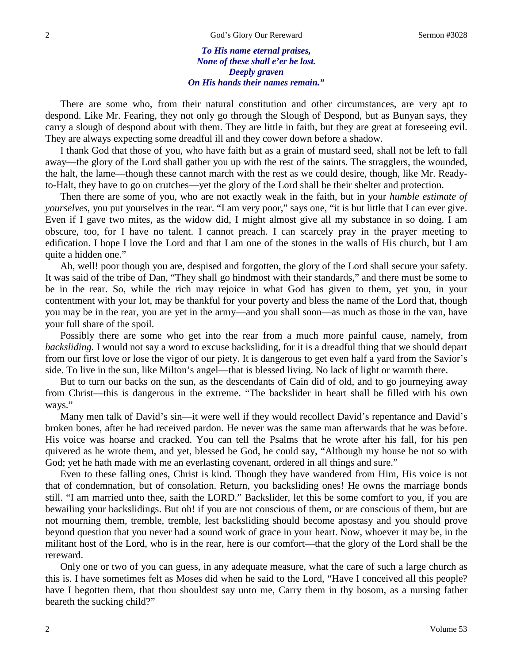### *To His name eternal praises, None of these shall e'er be lost. Deeply graven On His hands their names remain."*

There are some who, from their natural constitution and other circumstances, are very apt to despond. Like Mr. Fearing, they not only go through the Slough of Despond, but as Bunyan says, they carry a slough of despond about with them. They are little in faith, but they are great at foreseeing evil. They are always expecting some dreadful ill and they cower down before a shadow.

I thank God that those of you, who have faith but as a grain of mustard seed, shall not be left to fall away—the glory of the Lord shall gather you up with the rest of the saints. The stragglers, the wounded, the halt, the lame—though these cannot march with the rest as we could desire, though, like Mr. Readyto-Halt, they have to go on crutches—yet the glory of the Lord shall be their shelter and protection.

Then there are some of you, who are not exactly weak in the faith, but in your *humble estimate of yourselves*, you put yourselves in the rear. "I am very poor," says one, "it is but little that I can ever give. Even if I gave two mites, as the widow did, I might almost give all my substance in so doing. I am obscure, too, for I have no talent. I cannot preach. I can scarcely pray in the prayer meeting to edification. I hope I love the Lord and that I am one of the stones in the walls of His church, but I am quite a hidden one."

Ah, well! poor though you are, despised and forgotten, the glory of the Lord shall secure your safety. It was said of the tribe of Dan, "They shall go hindmost with their standards," and there must be some to be in the rear. So, while the rich may rejoice in what God has given to them, yet you, in your contentment with your lot, may be thankful for your poverty and bless the name of the Lord that, though you may be in the rear, you are yet in the army—and you shall soon—as much as those in the van, have your full share of the spoil.

Possibly there are some who get into the rear from a much more painful cause, namely, from *backsliding.* I would not say a word to excuse backsliding, for it is a dreadful thing that we should depart from our first love or lose the vigor of our piety. It is dangerous to get even half a yard from the Savior's side. To live in the sun, like Milton's angel—that is blessed living. No lack of light or warmth there.

But to turn our backs on the sun, as the descendants of Cain did of old, and to go journeying away from Christ—this is dangerous in the extreme. "The backslider in heart shall be filled with his own ways."

Many men talk of David's sin—it were well if they would recollect David's repentance and David's broken bones, after he had received pardon. He never was the same man afterwards that he was before. His voice was hoarse and cracked. You can tell the Psalms that he wrote after his fall, for his pen quivered as he wrote them, and yet, blessed be God, he could say, "Although my house be not so with God; yet he hath made with me an everlasting covenant, ordered in all things and sure."

Even to these falling ones, Christ is kind. Though they have wandered from Him, His voice is not that of condemnation, but of consolation. Return, you backsliding ones! He owns the marriage bonds still. "I am married unto thee, saith the LORD." Backslider, let this be some comfort to you, if you are bewailing your backslidings. But oh! if you are not conscious of them, or are conscious of them, but are not mourning them, tremble, tremble, lest backsliding should become apostasy and you should prove beyond question that you never had a sound work of grace in your heart. Now, whoever it may be, in the militant host of the Lord, who is in the rear, here is our comfort—that the glory of the Lord shall be the rereward.

Only one or two of you can guess, in any adequate measure, what the care of such a large church as this is. I have sometimes felt as Moses did when he said to the Lord, "Have I conceived all this people? have I begotten them, that thou shouldest say unto me, Carry them in thy bosom, as a nursing father beareth the sucking child?"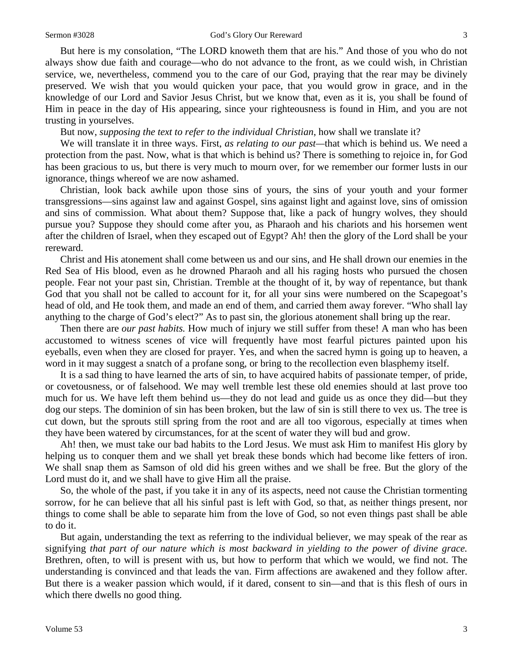But here is my consolation, "The LORD knoweth them that are his." And those of you who do not always show due faith and courage—who do not advance to the front, as we could wish, in Christian service, we, nevertheless, commend you to the care of our God, praying that the rear may be divinely preserved. We wish that you would quicken your pace, that you would grow in grace, and in the knowledge of our Lord and Savior Jesus Christ, but we know that, even as it is, you shall be found of Him in peace in the day of His appearing, since your righteousness is found in Him, and you are not trusting in yourselves.

But now, *supposing the text to refer to the individual Christian*, how shall we translate it?

We will translate it in three ways. First, *as relating to our past—*that which is behind us. We need a protection from the past. Now, what is that which is behind us? There is something to rejoice in, for God has been gracious to us, but there is very much to mourn over, for we remember our former lusts in our ignorance, things whereof we are now ashamed.

Christian, look back awhile upon those sins of yours, the sins of your youth and your former transgressions—sins against law and against Gospel, sins against light and against love, sins of omission and sins of commission. What about them? Suppose that, like a pack of hungry wolves, they should pursue you? Suppose they should come after you, as Pharaoh and his chariots and his horsemen went after the children of Israel, when they escaped out of Egypt? Ah! then the glory of the Lord shall be your rereward.

Christ and His atonement shall come between us and our sins, and He shall drown our enemies in the Red Sea of His blood, even as he drowned Pharaoh and all his raging hosts who pursued the chosen people. Fear not your past sin, Christian. Tremble at the thought of it, by way of repentance, but thank God that you shall not be called to account for it, for all your sins were numbered on the Scapegoat's head of old, and He took them, and made an end of them, and carried them away forever. "Who shall lay anything to the charge of God's elect?" As to past sin, the glorious atonement shall bring up the rear.

Then there are *our past habits.* How much of injury we still suffer from these! A man who has been accustomed to witness scenes of vice will frequently have most fearful pictures painted upon his eyeballs, even when they are closed for prayer. Yes, and when the sacred hymn is going up to heaven, a word in it may suggest a snatch of a profane song, or bring to the recollection even blasphemy itself.

It is a sad thing to have learned the arts of sin, to have acquired habits of passionate temper, of pride, or covetousness, or of falsehood. We may well tremble lest these old enemies should at last prove too much for us. We have left them behind us—they do not lead and guide us as once they did—but they dog our steps. The dominion of sin has been broken, but the law of sin is still there to vex us. The tree is cut down, but the sprouts still spring from the root and are all too vigorous, especially at times when they have been watered by circumstances, for at the scent of water they will bud and grow.

Ah! then, we must take our bad habits to the Lord Jesus. We must ask Him to manifest His glory by helping us to conquer them and we shall yet break these bonds which had become like fetters of iron. We shall snap them as Samson of old did his green withes and we shall be free. But the glory of the Lord must do it, and we shall have to give Him all the praise.

So, the whole of the past, if you take it in any of its aspects, need not cause the Christian tormenting sorrow, for he can believe that all his sinful past is left with God, so that, as neither things present, nor things to come shall be able to separate him from the love of God, so not even things past shall be able to do it.

But again, understanding the text as referring to the individual believer, we may speak of the rear as signifying *that part of our nature which is most backward in yielding to the power of divine grace.*  Brethren, often, to will is present with us, but how to perform that which we would, we find not. The understanding is convinced and that leads the van. Firm affections are awakened and they follow after. But there is a weaker passion which would, if it dared, consent to sin—and that is this flesh of ours in which there dwells no good thing.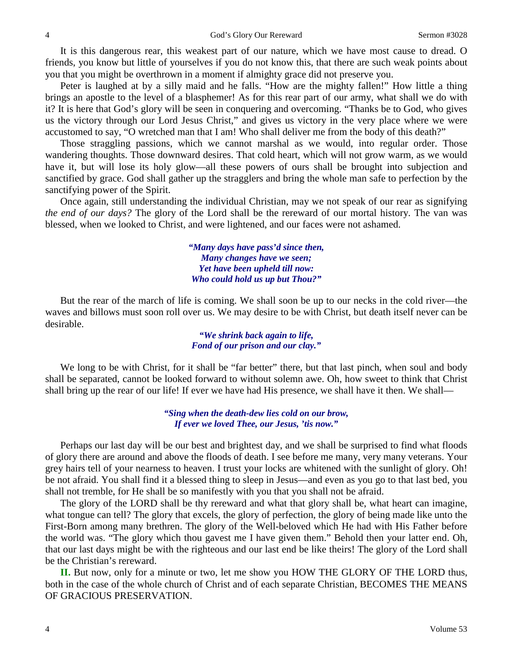It is this dangerous rear, this weakest part of our nature, which we have most cause to dread. O friends, you know but little of yourselves if you do not know this, that there are such weak points about you that you might be overthrown in a moment if almighty grace did not preserve you.

Peter is laughed at by a silly maid and he falls. "How are the mighty fallen!" How little a thing brings an apostle to the level of a blasphemer! As for this rear part of our army, what shall we do with it? It is here that God's glory will be seen in conquering and overcoming. "Thanks be to God, who gives us the victory through our Lord Jesus Christ," and gives us victory in the very place where we were accustomed to say, "O wretched man that I am! Who shall deliver me from the body of this death?"

Those straggling passions, which we cannot marshal as we would, into regular order. Those wandering thoughts. Those downward desires. That cold heart, which will not grow warm, as we would have it, but will lose its holy glow—all these powers of ours shall be brought into subjection and sanctified by grace. God shall gather up the stragglers and bring the whole man safe to perfection by the sanctifying power of the Spirit.

Once again, still understanding the individual Christian, may we not speak of our rear as signifying *the end of our days?* The glory of the Lord shall be the rereward of our mortal history. The van was blessed, when we looked to Christ, and were lightened, and our faces were not ashamed.

> *"Many days have pass'd since then, Many changes have we seen; Yet have been upheld till now: Who could hold us up but Thou?"*

But the rear of the march of life is coming. We shall soon be up to our necks in the cold river—the waves and billows must soon roll over us. We may desire to be with Christ, but death itself never can be desirable.

> *"We shrink back again to life, Fond of our prison and our clay."*

We long to be with Christ, for it shall be "far better" there, but that last pinch, when soul and body shall be separated, cannot be looked forward to without solemn awe. Oh, how sweet to think that Christ shall bring up the rear of our life! If ever we have had His presence, we shall have it then. We shall—

> *"Sing when the death-dew lies cold on our brow, If ever we loved Thee, our Jesus, 'tis now."*

Perhaps our last day will be our best and brightest day, and we shall be surprised to find what floods of glory there are around and above the floods of death. I see before me many, very many veterans. Your grey hairs tell of your nearness to heaven. I trust your locks are whitened with the sunlight of glory. Oh! be not afraid. You shall find it a blessed thing to sleep in Jesus—and even as you go to that last bed, you shall not tremble, for He shall be so manifestly with you that you shall not be afraid.

The glory of the LORD shall be thy rereward and what that glory shall be, what heart can imagine, what tongue can tell? The glory that excels, the glory of perfection, the glory of being made like unto the First-Born among many brethren. The glory of the Well-beloved which He had with His Father before the world was. "The glory which thou gavest me I have given them." Behold then your latter end. Oh, that our last days might be with the righteous and our last end be like theirs! The glory of the Lord shall be the Christian's rereward.

**II.** But now, only for a minute or two, let me show you HOW THE GLORY OF THE LORD thus, both in the case of the whole church of Christ and of each separate Christian, BECOMES THE MEANS OF GRACIOUS PRESERVATION.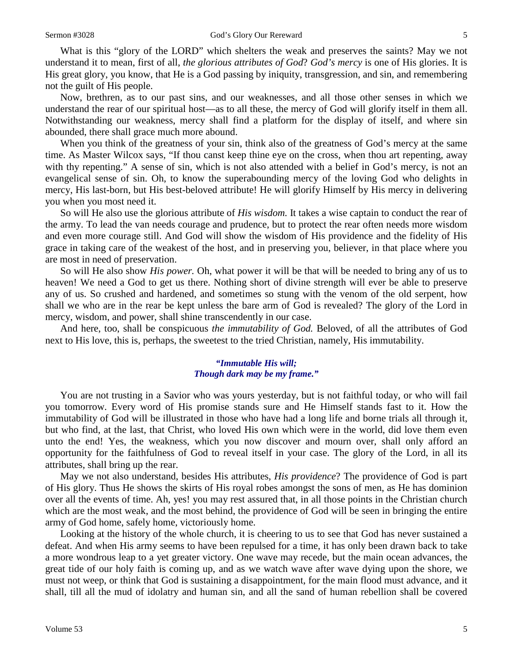What is this "glory of the LORD" which shelters the weak and preserves the saints? May we not understand it to mean, first of all, *the glorious attributes of God*? *God's mercy* is one of His glories. It is His great glory, you know, that He is a God passing by iniquity, transgression, and sin, and remembering not the guilt of His people.

Now, brethren, as to our past sins, and our weaknesses, and all those other senses in which we understand the rear of our spiritual host—as to all these, the mercy of God will glorify itself in them all. Notwithstanding our weakness, mercy shall find a platform for the display of itself, and where sin abounded, there shall grace much more abound.

When you think of the greatness of your sin, think also of the greatness of God's mercy at the same time. As Master Wilcox says, "If thou canst keep thine eye on the cross, when thou art repenting, away with thy repenting." A sense of sin, which is not also attended with a belief in God's mercy, is not an evangelical sense of sin. Oh, to know the superabounding mercy of the loving God who delights in mercy, His last-born, but His best-beloved attribute! He will glorify Himself by His mercy in delivering you when you most need it.

So will He also use the glorious attribute of *His wisdom.* It takes a wise captain to conduct the rear of the army. To lead the van needs courage and prudence, but to protect the rear often needs more wisdom and even more courage still. And God will show the wisdom of His providence and the fidelity of His grace in taking care of the weakest of the host, and in preserving you, believer, in that place where you are most in need of preservation.

So will He also show *His power.* Oh, what power it will be that will be needed to bring any of us to heaven! We need a God to get us there. Nothing short of divine strength will ever be able to preserve any of us. So crushed and hardened, and sometimes so stung with the venom of the old serpent, how shall we who are in the rear be kept unless the bare arm of God is revealed? The glory of the Lord in mercy, wisdom, and power, shall shine transcendently in our case.

And here, too, shall be conspicuous *the immutability of God.* Beloved, of all the attributes of God next to His love, this is, perhaps, the sweetest to the tried Christian, namely, His immutability.

### *"Immutable His will; Though dark may be my frame."*

You are not trusting in a Savior who was yours yesterday, but is not faithful today, or who will fail you tomorrow. Every word of His promise stands sure and He Himself stands fast to it. How the immutability of God will be illustrated in those who have had a long life and borne trials all through it, but who find, at the last, that Christ, who loved His own which were in the world, did love them even unto the end! Yes, the weakness, which you now discover and mourn over, shall only afford an opportunity for the faithfulness of God to reveal itself in your case. The glory of the Lord, in all its attributes, shall bring up the rear.

May we not also understand, besides His attributes, *His providence*? The providence of God is part of His glory. Thus He shows the skirts of His royal robes amongst the sons of men, as He has dominion over all the events of time. Ah, yes! you may rest assured that, in all those points in the Christian church which are the most weak, and the most behind, the providence of God will be seen in bringing the entire army of God home, safely home, victoriously home.

Looking at the history of the whole church, it is cheering to us to see that God has never sustained a defeat. And when His army seems to have been repulsed for a time, it has only been drawn back to take a more wondrous leap to a yet greater victory. One wave may recede, but the main ocean advances, the great tide of our holy faith is coming up, and as we watch wave after wave dying upon the shore, we must not weep, or think that God is sustaining a disappointment, for the main flood must advance, and it shall, till all the mud of idolatry and human sin, and all the sand of human rebellion shall be covered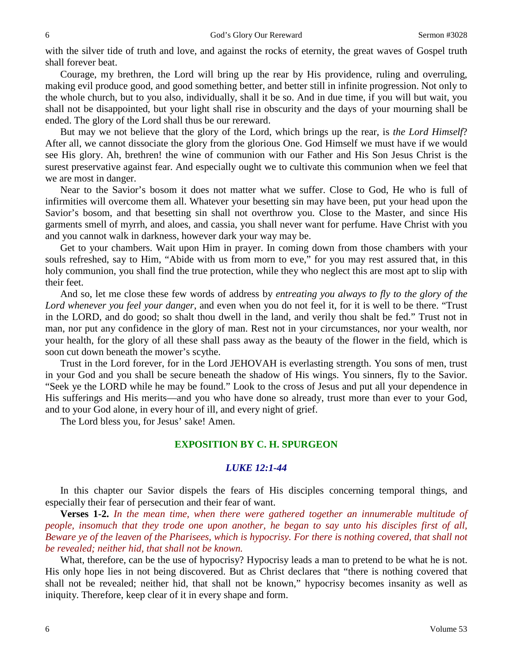with the silver tide of truth and love, and against the rocks of eternity, the great waves of Gospel truth shall forever beat.

Courage, my brethren, the Lord will bring up the rear by His providence, ruling and overruling, making evil produce good, and good something better, and better still in infinite progression. Not only to the whole church, but to you also, individually, shall it be so. And in due time, if you will but wait, you shall not be disappointed, but your light shall rise in obscurity and the days of your mourning shall be ended. The glory of the Lord shall thus be our rereward.

But may we not believe that the glory of the Lord, which brings up the rear, is *the Lord Himself*? After all, we cannot dissociate the glory from the glorious One. God Himself we must have if we would see His glory. Ah, brethren! the wine of communion with our Father and His Son Jesus Christ is the surest preservative against fear. And especially ought we to cultivate this communion when we feel that we are most in danger.

Near to the Savior's bosom it does not matter what we suffer. Close to God, He who is full of infirmities will overcome them all. Whatever your besetting sin may have been, put your head upon the Savior's bosom, and that besetting sin shall not overthrow you. Close to the Master, and since His garments smell of myrrh, and aloes, and cassia, you shall never want for perfume. Have Christ with you and you cannot walk in darkness, however dark your way may be.

Get to your chambers. Wait upon Him in prayer. In coming down from those chambers with your souls refreshed, say to Him, "Abide with us from morn to eve," for you may rest assured that, in this holy communion, you shall find the true protection, while they who neglect this are most apt to slip with their feet.

And so, let me close these few words of address by *entreating you always to fly to the glory of the Lord whenever you feel your danger*, and even when you do not feel it, for it is well to be there. "Trust in the LORD, and do good; so shalt thou dwell in the land, and verily thou shalt be fed." Trust not in man, nor put any confidence in the glory of man. Rest not in your circumstances, nor your wealth, nor your health, for the glory of all these shall pass away as the beauty of the flower in the field, which is soon cut down beneath the mower's scythe.

Trust in the Lord forever, for in the Lord JEHOVAH is everlasting strength. You sons of men, trust in your God and you shall be secure beneath the shadow of His wings. You sinners, fly to the Savior. "Seek ye the LORD while he may be found." Look to the cross of Jesus and put all your dependence in His sufferings and His merits—and you who have done so already, trust more than ever to your God, and to your God alone, in every hour of ill, and every night of grief.

The Lord bless you, for Jesus' sake! Amen.

### **EXPOSITION BY C. H. SPURGEON**

### *LUKE 12:1-44*

In this chapter our Savior dispels the fears of His disciples concerning temporal things, and especially their fear of persecution and their fear of want.

**Verses 1-2.** *In the mean time, when there were gathered together an innumerable multitude of people, insomuch that they trode one upon another, he began to say unto his disciples first of all, Beware ye of the leaven of the Pharisees, which is hypocrisy. For there is nothing covered, that shall not be revealed; neither hid, that shall not be known.*

What, therefore, can be the use of hypocrisy? Hypocrisy leads a man to pretend to be what he is not. His only hope lies in not being discovered. But as Christ declares that "there is nothing covered that shall not be revealed; neither hid, that shall not be known," hypocrisy becomes insanity as well as iniquity. Therefore, keep clear of it in every shape and form.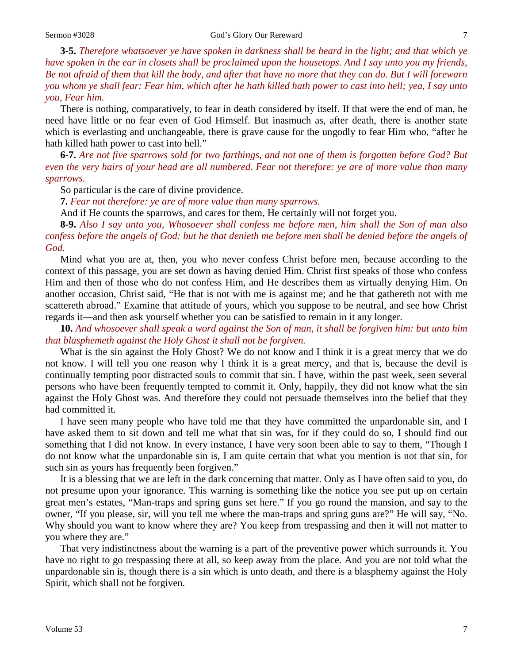**3-5.** *Therefore whatsoever ye have spoken in darkness shall be heard in the light; and that which ye have spoken in the ear in closets shall be proclaimed upon the housetops. And I say unto you my friends, Be not afraid of them that kill the body, and after that have no more that they can do. But I will forewarn you whom ye shall fear: Fear him, which after he hath killed hath power to cast into hell; yea, I say unto you, Fear him.*

There is nothing, comparatively, to fear in death considered by itself. If that were the end of man, he need have little or no fear even of God Himself. But inasmuch as, after death, there is another state which is everlasting and unchangeable, there is grave cause for the ungodly to fear Him who, "after he hath killed hath power to cast into hell."

**6-7.** *Are not five sparrows sold for two farthings, and not one of them is forgotten before God? But even the very hairs of your head are all numbered. Fear not therefore: ye are of more value than many sparrows.*

So particular is the care of divine providence.

**7.** *Fear not therefore: ye are of more value than many sparrows.*

And if He counts the sparrows, and cares for them, He certainly will not forget you.

**8-9.** *Also I say unto you, Whosoever shall confess me before men, him shall the Son of man also confess before the angels of God: but he that denieth me before men shall be denied before the angels of God.*

Mind what you are at, then, you who never confess Christ before men, because according to the context of this passage, you are set down as having denied Him. Christ first speaks of those who confess Him and then of those who do not confess Him, and He describes them as virtually denying Him. On another occasion, Christ said, "He that is not with me is against me; and he that gathereth not with me scattereth abroad." Examine that attitude of yours, which you suppose to be neutral, and see how Christ regards it—and then ask yourself whether you can be satisfied to remain in it any longer.

**10.** *And whosoever shall speak a word against the Son of man, it shall be forgiven him: but unto him that blasphemeth against the Holy Ghost it shall not be forgiven.*

What is the sin against the Holy Ghost? We do not know and I think it is a great mercy that we do not know. I will tell you one reason why I think it is a great mercy, and that is, because the devil is continually tempting poor distracted souls to commit that sin. I have, within the past week, seen several persons who have been frequently tempted to commit it. Only, happily, they did not know what the sin against the Holy Ghost was. And therefore they could not persuade themselves into the belief that they had committed it.

I have seen many people who have told me that they have committed the unpardonable sin, and I have asked them to sit down and tell me what that sin was, for if they could do so, I should find out something that I did not know. In every instance, I have very soon been able to say to them, "Though I do not know what the unpardonable sin is, I am quite certain that what you mention is not that sin, for such sin as yours has frequently been forgiven."

It is a blessing that we are left in the dark concerning that matter. Only as I have often said to you, do not presume upon your ignorance. This warning is something like the notice you see put up on certain great men's estates, "Man-traps and spring guns set here." If you go round the mansion, and say to the owner, "If you please, sir, will you tell me where the man-traps and spring guns are?" He will say, "No. Why should you want to know where they are? You keep from trespassing and then it will not matter to you where they are."

That very indistinctness about the warning is a part of the preventive power which surrounds it. You have no right to go trespassing there at all, so keep away from the place. And you are not told what the unpardonable sin is, though there is a sin which is unto death, and there is a blasphemy against the Holy Spirit, which shall not be forgiven.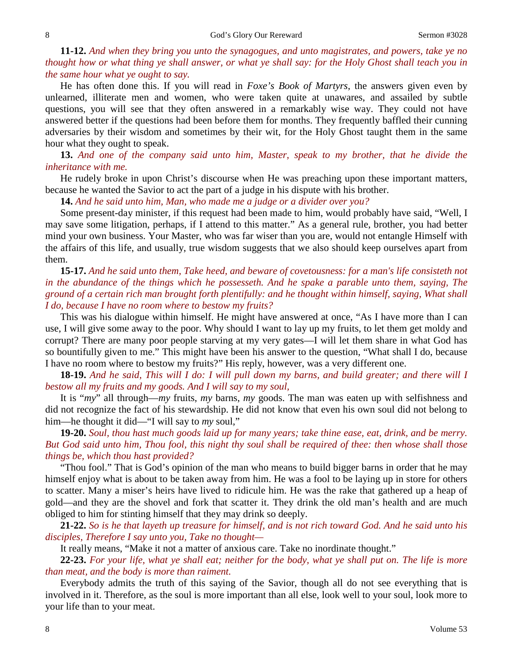**11-12.** *And when they bring you unto the synagogues, and unto magistrates, and powers, take ye no thought how or what thing ye shall answer, or what ye shall say: for the Holy Ghost shall teach you in the same hour what ye ought to say.*

He has often done this. If you will read in *Foxe's Book of Martyrs*, the answers given even by unlearned, illiterate men and women, who were taken quite at unawares, and assailed by subtle questions, you will see that they often answered in a remarkably wise way. They could not have answered better if the questions had been before them for months. They frequently baffled their cunning adversaries by their wisdom and sometimes by their wit, for the Holy Ghost taught them in the same hour what they ought to speak.

**13.** *And one of the company said unto him, Master, speak to my brother, that he divide the inheritance with me.*

He rudely broke in upon Christ's discourse when He was preaching upon these important matters, because he wanted the Savior to act the part of a judge in his dispute with his brother.

**14.** *And he said unto him, Man, who made me a judge or a divider over you?*

Some present-day minister, if this request had been made to him, would probably have said, "Well, I may save some litigation, perhaps, if I attend to this matter." As a general rule, brother, you had better mind your own business. Your Master, who was far wiser than you are, would not entangle Himself with the affairs of this life, and usually, true wisdom suggests that we also should keep ourselves apart from them.

**15-17.** *And he said unto them, Take heed, and beware of covetousness: for a man's life consisteth not in the abundance of the things which he possesseth. And he spake a parable unto them, saying, The ground of a certain rich man brought forth plentifully: and he thought within himself, saying, What shall I do, because I have no room where to bestow my fruits?*

This was his dialogue within himself. He might have answered at once, "As I have more than I can use, I will give some away to the poor. Why should I want to lay up my fruits, to let them get moldy and corrupt? There are many poor people starving at my very gates—I will let them share in what God has so bountifully given to me." This might have been his answer to the question, "What shall I do, because I have no room where to bestow my fruits?" His reply, however, was a very different one.

**18-19.** *And he said, This will I do: I will pull down my barns, and build greater; and there will I bestow all my fruits and my goods. And I will say to my soul,*

It is "*my*" all through—*my* fruits, *my* barns, *my* goods. The man was eaten up with selfishness and did not recognize the fact of his stewardship. He did not know that even his own soul did not belong to him—he thought it did—"I will say to *my* soul,"

**19-20.** *Soul, thou hast much goods laid up for many years; take thine ease, eat, drink, and be merry. But God said unto him, Thou fool, this night thy soul shall be required of thee: then whose shall those things be, which thou hast provided?*

"Thou fool." That is God's opinion of the man who means to build bigger barns in order that he may himself enjoy what is about to be taken away from him. He was a fool to be laying up in store for others to scatter. Many a miser's heirs have lived to ridicule him. He was the rake that gathered up a heap of gold—and they are the shovel and fork that scatter it. They drink the old man's health and are much obliged to him for stinting himself that they may drink so deeply.

**21-22.** *So is he that layeth up treasure for himself, and is not rich toward God. And he said unto his disciples, Therefore I say unto you, Take no thought—*

It really means, "Make it not a matter of anxious care. Take no inordinate thought."

**22-23.** *For your life, what ye shall eat; neither for the body, what ye shall put on. The life is more than meat, and the body is more than raiment.*

Everybody admits the truth of this saying of the Savior, though all do not see everything that is involved in it. Therefore, as the soul is more important than all else, look well to your soul, look more to your life than to your meat.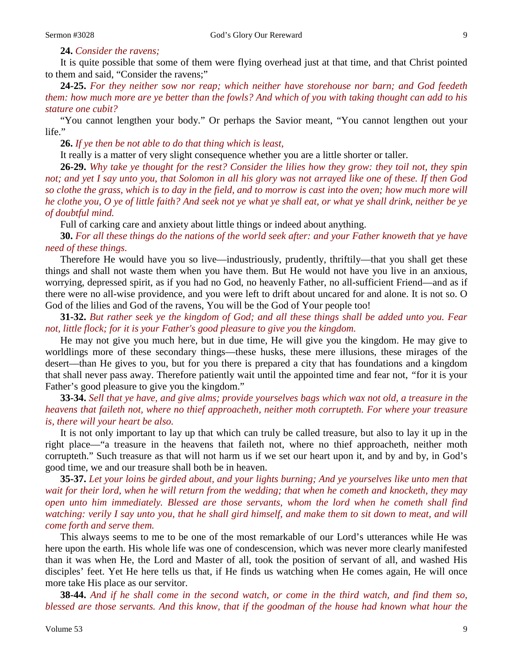### **24.** *Consider the ravens;*

It is quite possible that some of them were flying overhead just at that time, and that Christ pointed to them and said, "Consider the ravens;"

**24-25.** *For they neither sow nor reap; which neither have storehouse nor barn; and God feedeth them: how much more are ye better than the fowls? And which of you with taking thought can add to his stature one cubit?*

"You cannot lengthen your body." Or perhaps the Savior meant, "You cannot lengthen out your life."

**26.** *If ye then be not able to do that thing which is least,*

It really is a matter of very slight consequence whether you are a little shorter or taller.

**26-29.** *Why take ye thought for the rest? Consider the lilies how they grow: they toil not, they spin not; and yet I say unto you, that Solomon in all his glory was not arrayed like one of these. If then God so clothe the grass, which is to day in the field, and to morrow is cast into the oven; how much more will he clothe you, O ye of little faith? And seek not ye what ye shall eat, or what ye shall drink, neither be ye of doubtful mind.*

Full of carking care and anxiety about little things or indeed about anything.

**30.** *For all these things do the nations of the world seek after: and your Father knoweth that ye have need of these things.*

Therefore He would have you so live—industriously, prudently, thriftily—that you shall get these things and shall not waste them when you have them. But He would not have you live in an anxious, worrying, depressed spirit, as if you had no God, no heavenly Father, no all-sufficient Friend—and as if there were no all-wise providence, and you were left to drift about uncared for and alone. It is not so. O God of the lilies and God of the ravens, You will be the God of Your people too!

**31-32.** *But rather seek ye the kingdom of God; and all these things shall be added unto you. Fear not, little flock; for it is your Father's good pleasure to give you the kingdom.*

He may not give you much here, but in due time, He will give you the kingdom. He may give to worldlings more of these secondary things—these husks, these mere illusions, these mirages of the desert—than He gives to you, but for you there is prepared a city that has foundations and a kingdom that shall never pass away. Therefore patiently wait until the appointed time and fear not, *"*for it is your Father's good pleasure to give you the kingdom."

**33-34.** *Sell that ye have, and give alms; provide yourselves bags which wax not old, a treasure in the heavens that faileth not, where no thief approacheth, neither moth corrupteth. For where your treasure is, there will your heart be also.*

It is not only important to lay up that which can truly be called treasure, but also to lay it up in the right place—"a treasure in the heavens that faileth not, where no thief approacheth, neither moth corrupteth." Such treasure as that will not harm us if we set our heart upon it, and by and by, in God's good time, we and our treasure shall both be in heaven.

**35-37.** *Let your loins be girded about, and your lights burning; And ye yourselves like unto men that wait for their lord, when he will return from the wedding; that when he cometh and knocketh, they may open unto him immediately. Blessed are those servants, whom the lord when he cometh shall find watching: verily I say unto you, that he shall gird himself, and make them to sit down to meat, and will come forth and serve them.*

This always seems to me to be one of the most remarkable of our Lord's utterances while He was here upon the earth. His whole life was one of condescension, which was never more clearly manifested than it was when He, the Lord and Master of all, took the position of servant of all, and washed His disciples' feet. Yet He here tells us that, if He finds us watching when He comes again, He will once more take His place as our servitor.

**38-44.** *And if he shall come in the second watch, or come in the third watch, and find them so, blessed are those servants. And this know, that if the goodman of the house had known what hour the*